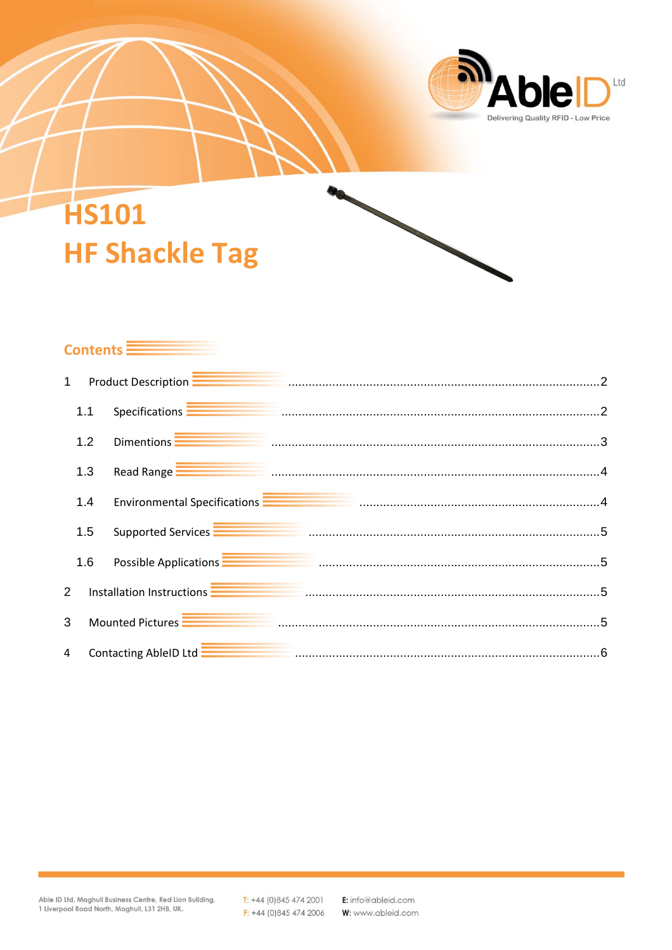

# **HS101 HF Shackle Tag**

# Contents **Election**

| $\mathbf{1}$   |                  |                       | Product Description <b>Election Product Description</b> 2 <b>Continuum Construction</b> 2                                                                                                                                            |  |
|----------------|------------------|-----------------------|--------------------------------------------------------------------------------------------------------------------------------------------------------------------------------------------------------------------------------------|--|
|                | 1.1              |                       | Specifications <b>Election Contract Contract Contract Contract Contract Contract Contract Contract Contract Contract Contract Contract Contract Contract Contract Contract Contract Contract Contract Contract Contract Contract</b> |  |
|                | 1.2              | Dimentions -          |                                                                                                                                                                                                                                      |  |
|                | 1.3              |                       | Read Range <b>Ellistic Processor Communication</b> Communication and Communication and Communication and A                                                                                                                           |  |
|                | 1.4              |                       | Environmental Specifications <b>Election Communication</b> Communication and American Account Account Account Account                                                                                                                |  |
|                | 1.5              |                       | Supported Services <b>Election Communication</b> Communication and Communication of Supported Services <b>Election Communication</b>                                                                                                 |  |
|                | 1.6              |                       | Possible Applications <b>Election Contract Contract Contract Contract Contract Contract Contract Contract Contract Contract Contract Contract Contract Contract Contract Contract Contract Contract Contract Contract Contract C</b> |  |
| $\overline{2}$ |                  |                       | Installation Instructions <b>Entity of the Community Construction</b> of the United States of the United States of the                                                                                                               |  |
| 3              | Mounted Pictures |                       |                                                                                                                                                                                                                                      |  |
| 4              |                  | Contacting AbleID Ltd |                                                                                                                                                                                                                                      |  |

 $T: +44(0)8454742001$  $F: +44(0)8454742006$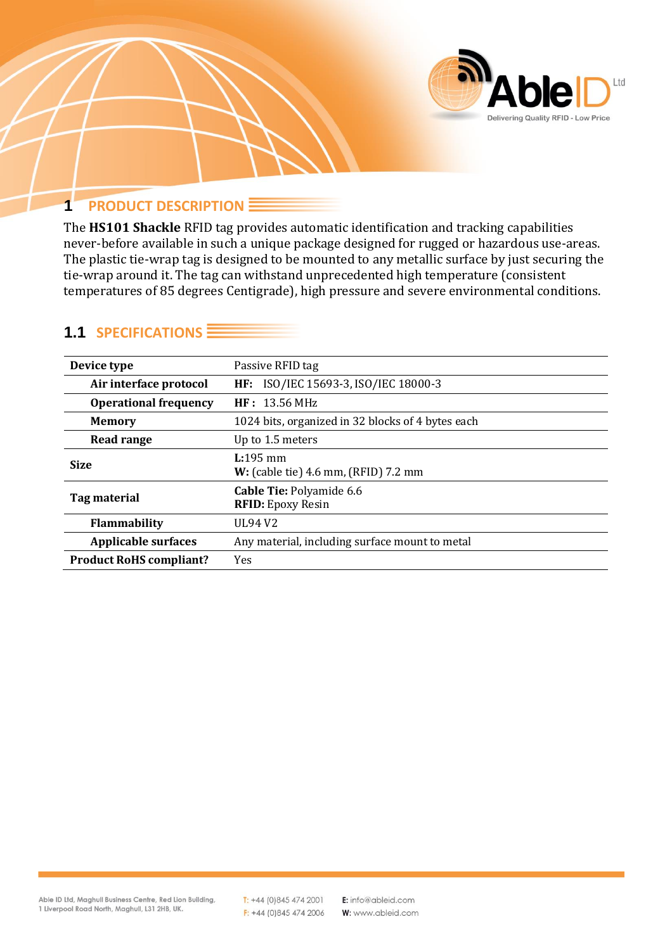

#### <span id="page-1-0"></span>**1 PRODUCT DESCRIPTION**

The **HS101 Shackle** RFID tag provides automatic identification and tracking capabilities never-before available in such a unique package designed for rugged or hazardous use-areas. The plastic tie-wrap tag is designed to be mounted to any metallic surface by just securing the tie-wrap around it. The tag can withstand unprecedented high temperature (consistent temperatures of 85 degrees Centigrade), high pressure and severe environmental conditions.

| Device type                    | Passive RFID tag                                     |  |
|--------------------------------|------------------------------------------------------|--|
| Air interface protocol         | HF: ISO/IEC 15693-3, ISO/IEC 18000-3                 |  |
| <b>Operational frequency</b>   | HF: 13.56 MHz                                        |  |
| <b>Memory</b>                  | 1024 bits, organized in 32 blocks of 4 bytes each    |  |
| <b>Read range</b>              | Up to 1.5 meters                                     |  |
| <b>Size</b>                    | $L:195$ mm<br>W: (cable tie) 4.6 mm, (RFID) 7.2 mm   |  |
| Tag material                   | Cable Tie: Polyamide 6.6<br><b>RFID:</b> Epoxy Resin |  |
| <b>Flammability</b>            | UL94 V <sub>2</sub>                                  |  |
| <b>Applicable surfaces</b>     | Any material, including surface mount to metal       |  |
| <b>Product RoHS compliant?</b> | Yes                                                  |  |

#### <span id="page-1-1"></span>**1.1 SPECIFICATIONS**

 $T: +44(0)8454742001$  $F: +44(0)8454742006$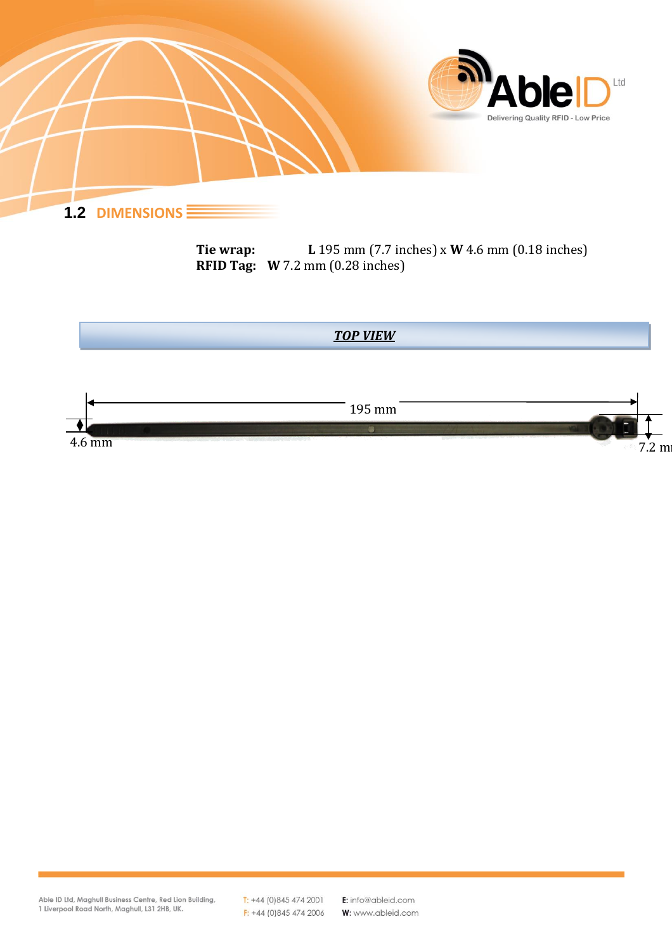

**Tie wrap: L** 195 mm (7.7 inches) x **W** 4.6 mm (0.18 inches) **RFID Tag: W** 7.2 mm (0.28 inches)

<span id="page-2-0"></span>

 $T: +44(0)8454742001$  $F: +44(0)8454742006$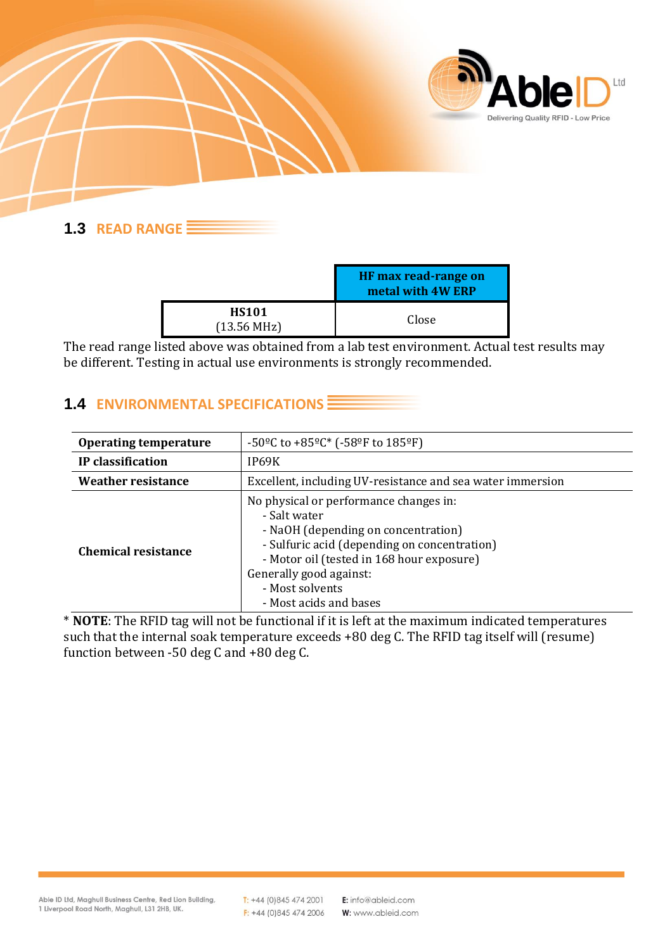

## <span id="page-3-0"></span>**1.3 READ RANGE**

|                                       | HF max read-range on<br>metal with 4W ERP |
|---------------------------------------|-------------------------------------------|
| <b>HS101</b><br>$(13.56 \text{ MHz})$ | Close                                     |

The read range listed above was obtained from a lab test environment. Actual test results may be different. Testing in actual use environments is strongly recommended.

# <span id="page-3-1"></span>**1.4 ENVIRONMENTAL SPECIFICATIONS**

| <b>Operating temperature</b> | -50 <sup>o</sup> C to +85 <sup>o</sup> C* (-58 <sup>o</sup> F to 185 <sup>o</sup> F)                                                                                                                                                                               |  |
|------------------------------|--------------------------------------------------------------------------------------------------------------------------------------------------------------------------------------------------------------------------------------------------------------------|--|
| IP classification            | IP69K                                                                                                                                                                                                                                                              |  |
| <b>Weather resistance</b>    | Excellent, including UV-resistance and sea water immersion                                                                                                                                                                                                         |  |
| <b>Chemical resistance</b>   | No physical or performance changes in:<br>- Salt water<br>- NaOH (depending on concentration)<br>- Sulfuric acid (depending on concentration)<br>- Motor oil (tested in 168 hour exposure)<br>Generally good against:<br>- Most solvents<br>- Most acids and bases |  |

\* **NOTE**: The RFID tag will not be functional if it is left at the maximum indicated temperatures such that the internal soak temperature exceeds +80 deg C. The RFID tag itself will (resume) function between -50 deg C and +80 deg C.

 $T: +44(0)8454742001$  $F: +44(0)8454742006$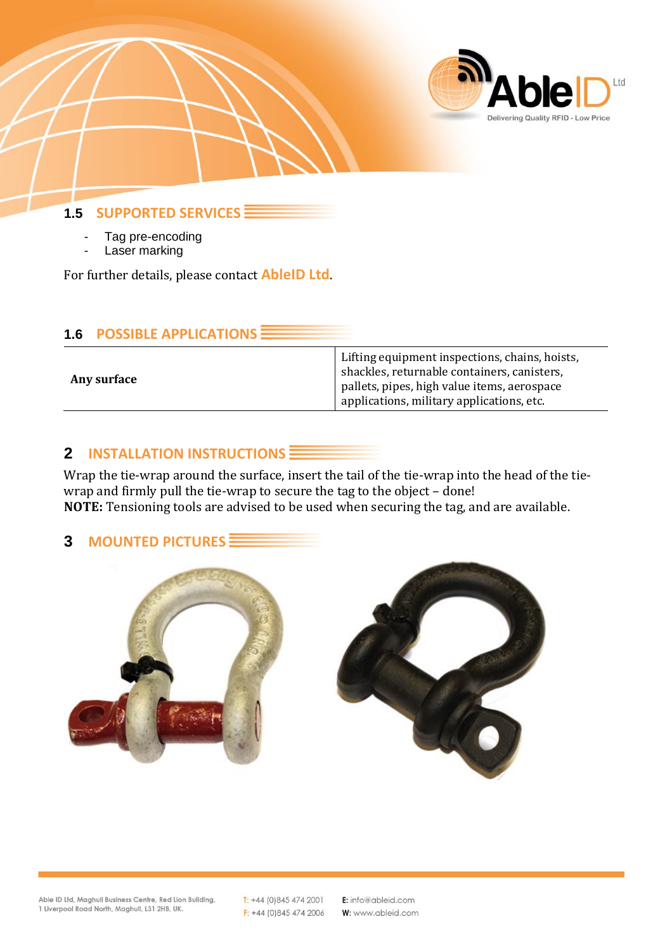

<span id="page-4-0"></span>**1.5 SUPPORTED SERVICES** 

- Tag pre-encoding
- Laser marking

For further details, please contact **AbleID Ltd**.

<span id="page-4-1"></span>

| <b>1.6 POSSIBLE APPLICATIONS E</b> |  |
|------------------------------------|--|
|                                    |  |

| Any surface | Lifting equipment inspections, chains, hoists,<br>shackles, returnable containers, canisters,<br>pallets, pipes, high value items, aerospace<br>applications, military applications, etc. |
|-------------|-------------------------------------------------------------------------------------------------------------------------------------------------------------------------------------------|
|             |                                                                                                                                                                                           |

#### <span id="page-4-2"></span>**2 INSTALLATION INSTRUCTIONS**

Wrap the tie-wrap around the surface, insert the tail of the tie-wrap into the head of the tiewrap and firmly pull the tie-wrap to secure the tag to the object - done! **NOTE:** Tensioning tools are advised to be used when securing the tag, and are available.

#### <span id="page-4-3"></span>**3 MOUNTED PICTURES**



Able ID Ltd, Maghull Business Centre, Red Lion Building, 1 Liverpool Road North, Maghull, L31 2HB, UK.

 $T: +44(0)8454742001$  $F: +44(0)8454742006$